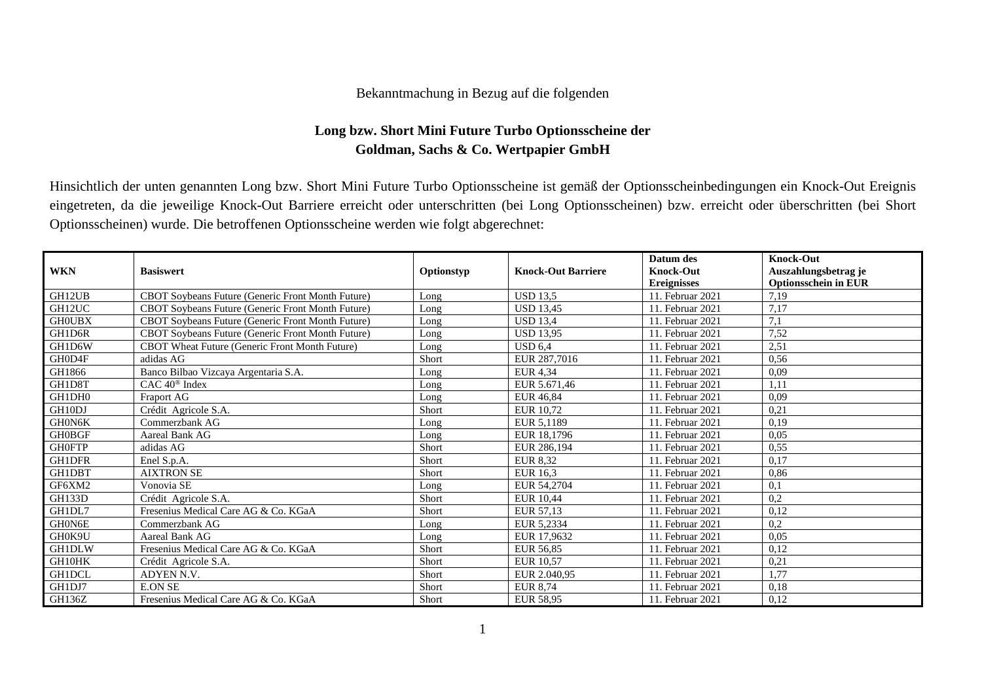## Bekanntmachung in Bezug auf die folgenden

## **Long bzw. Short Mini Future Turbo Optionsscheine der Goldman, Sachs & Co. Wertpapier GmbH**

Hinsichtlich der unten genannten Long bzw. Short Mini Future Turbo Optionsscheine ist gemäß der Optionsscheinbedingungen ein Knock-Out Ereignis eingetreten, da die jeweilige Knock-Out Barriere erreicht oder unterschritten (bei Long Optionsscheinen) bzw. erreicht oder überschritten (bei Short Optionsscheinen) wurde. Die betroffenen Optionsscheine werden wie folgt abgerechnet:

|               |                                                          |            |                           | Datum des          | <b>Knock-Out</b>            |
|---------------|----------------------------------------------------------|------------|---------------------------|--------------------|-----------------------------|
| <b>WKN</b>    | <b>Basiswert</b>                                         | Optionstyp | <b>Knock-Out Barriere</b> | <b>Knock-Out</b>   | Auszahlungsbetrag je        |
|               |                                                          |            |                           | <b>Ereignisses</b> | <b>Optionsschein in EUR</b> |
| GH12UB        | CBOT Soybeans Future (Generic Front Month Future)        | Long       | <b>USD 13,5</b>           | 11. Februar 2021   | 7,19                        |
| GH12UC        | CBOT Soybeans Future (Generic Front Month Future)        | Long       | <b>USD 13.45</b>          | 11. Februar 2021   | 7,17                        |
| <b>GHOUBX</b> | CBOT Soybeans Future (Generic Front Month Future)        | Long       | <b>USD 13.4</b>           | 11. Februar 2021   | 7,1                         |
| GH1D6R        | <b>CBOT Soybeans Future (Generic Front Month Future)</b> | Long       | <b>USD 13.95</b>          | 11. Februar 2021   | 7,52                        |
| GH1D6W        | CBOT Wheat Future (Generic Front Month Future)           | Long       | <b>USD 6.4</b>            | 11. Februar 2021   | 2,51                        |
| GH0D4F        | adidas AG                                                | Short      | EUR 287,7016              | 11. Februar 2021   | 0,56                        |
| GH1866        | Banco Bilbao Vizcaya Argentaria S.A.                     | Long       | <b>EUR 4,34</b>           | 11. Februar 2021   | 0,09                        |
| GH1D8T        | CAC 40 <sup>®</sup> Index                                | Long       | EUR 5.671,46              | 11. Februar 2021   | 1,11                        |
| GH1DH0        | <b>Fraport AG</b>                                        | Long       | <b>EUR 46.84</b>          | 11. Februar 2021   | 0,09                        |
| GH10DJ        | Crédit Agricole S.A.                                     | Short      | <b>EUR 10,72</b>          | 11. Februar 2021   | 0,21                        |
| GH0N6K        | Commerzbank AG                                           | Long       | EUR 5,1189                | 11. Februar 2021   | 0,19                        |
| <b>GH0BGF</b> | Aareal Bank AG                                           | Long       | EUR 18,1796               | 11. Februar 2021   | 0.05                        |
| <b>GHOFTP</b> | adidas AG                                                | Short      | EUR 286,194               | 11. Februar 2021   | 0,55                        |
| <b>GH1DFR</b> | Enel S.p.A.                                              | Short      | <b>EUR 8,32</b>           | 11. Februar 2021   | 0,17                        |
| GH1DBT        | <b>AIXTRON SE</b>                                        | Short      | EUR 16,3                  | 11. Februar 2021   | 0,86                        |
| GF6XM2        | Vonovia SE                                               | Long       | EUR 54,2704               | 11. Februar 2021   | 0,1                         |
| GH133D        | Crédit Agricole S.A.                                     | Short      | <b>EUR 10,44</b>          | 11. Februar 2021   | 0,2                         |
| GH1DL7        | Fresenius Medical Care AG & Co. KGaA                     | Short      | EUR 57,13                 | 11. Februar 2021   | 0,12                        |
| GH0N6E        | Commerzbank AG                                           | Long       | EUR 5,2334                | 11. Februar 2021   | 0,2                         |
| GH0K9U        | Aareal Bank AG                                           | Long       | EUR 17,9632               | 11. Februar 2021   | 0,05                        |
| GH1DLW        | Fresenius Medical Care AG & Co. KGaA                     | Short      | EUR 56.85                 | 11. Februar 2021   | 0,12                        |
| GH10HK        | Crédit Agricole S.A.                                     | Short      | <b>EUR 10.57</b>          | 11. Februar 2021   | 0,21                        |
| <b>GH1DCL</b> | ADYEN N.V.                                               | Short      | EUR 2.040,95              | 11. Februar 2021   | 1,77                        |
| GH1DJ7        | <b>E.ON SE</b>                                           | Short      | <b>EUR 8,74</b>           | 11. Februar 2021   | 0,18                        |
| GH136Z        | Fresenius Medical Care AG & Co. KGaA                     | Short      | EUR 58,95                 | 11. Februar 2021   | 0,12                        |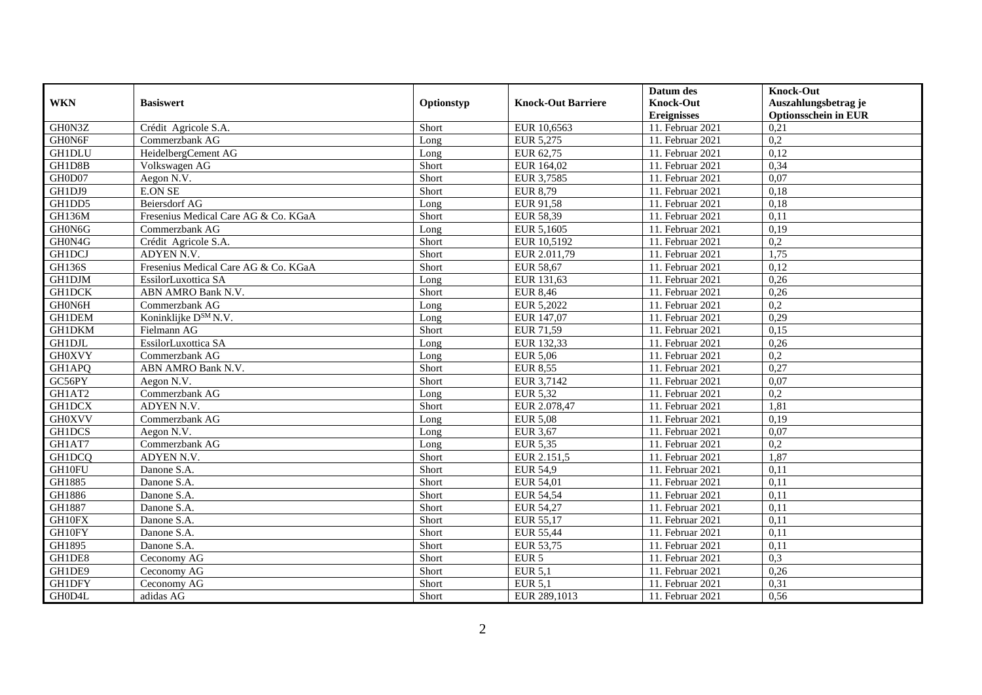|               |                                      |            |                           | Datum des          | <b>Knock-Out</b>            |
|---------------|--------------------------------------|------------|---------------------------|--------------------|-----------------------------|
| <b>WKN</b>    | <b>Basiswert</b>                     | Optionstyp | <b>Knock-Out Barriere</b> | <b>Knock-Out</b>   | Auszahlungsbetrag je        |
|               |                                      |            |                           | <b>Ereignisses</b> | <b>Optionsschein in EUR</b> |
| GH0N3Z        | Crédit Agricole S.A.                 | Short      | EUR 10,6563               | 11. Februar 2021   | 0,21                        |
| GH0N6F        | Commerzbank AG                       | Long       | EUR 5,275                 | 11. Februar 2021   | 0,2                         |
| <b>GH1DLU</b> | HeidelbergCement AG                  | Long       | EUR 62,75                 | 11. Februar 2021   | 0,12                        |
| GH1D8B        | Volkswagen AG                        | Short      | EUR 164,02                | 11. Februar 2021   | 0,34                        |
| GH0D07        | Aegon N.V.                           | Short      | EUR 3,7585                | 11. Februar 2021   | 0,07                        |
| GH1DJ9        | <b>E.ON SE</b>                       | Short      | <b>EUR 8,79</b>           | 11. Februar 2021   | 0,18                        |
| GH1DD5        | Beiersdorf AG                        | Long       | EUR 91,58                 | $11.$ Februar 2021 | 0,18                        |
| <b>GH136M</b> | Fresenius Medical Care AG & Co. KGaA | Short      | EUR 58,39                 | 11. Februar 2021   | 0,11                        |
| GH0N6G        | Commerzbank AG                       | Long       | EUR 5,1605                | 11. Februar 2021   | 0,19                        |
| GH0N4G        | Crédit Agricole S.A.                 | Short      | EUR 10,5192               | 11. Februar 2021   | $\overline{0,2}$            |
| <b>GH1DCJ</b> | ADYEN N.V.                           | Short      | EUR 2.011,79              | 11. Februar 2021   | 1,75                        |
| <b>GH136S</b> | Fresenius Medical Care AG & Co. KGaA | Short      | <b>EUR 58,67</b>          | 11. Februar 2021   | 0,12                        |
| <b>GH1DJM</b> | EssilorLuxottica SA                  | Long       | EUR 131,63                | 11. Februar 2021   | 0,26                        |
| <b>GH1DCK</b> | ABN AMRO Bank N.V.                   | Short      | <b>EUR 8,46</b>           | 11. Februar 2021   | 0,26                        |
| GH0N6H        | Commerzbank AG                       | Long       | EUR 5,2022                | 11. Februar 2021   | 0,2                         |
| GH1DEM        | Koninklijke D <sup>SM</sup> N.V.     | Long       | EUR 147,07                | 11. Februar 2021   | 0,29                        |
| <b>GH1DKM</b> | Fielmann AG                          | Short      | EUR 71,59                 | 11. Februar 2021   | 0,15                        |
| <b>GH1DJL</b> | EssilorLuxottica SA                  | $L$ ong    | EUR 132.33                | 11. Februar 2021   | 0,26                        |
| <b>GH0XVY</b> | Commerzbank AG                       | Long       | EUR 5,06                  | 11. Februar 2021   | $\overline{0,2}$            |
| GH1APQ        | ABN AMRO Bank N.V.                   | Short      | <b>EUR 8,55</b>           | 11. Februar 2021   | 0,27                        |
| GC56PY        | Aegon N.V.                           | Short      | EUR 3,7142                | 11. Februar 2021   | 0,07                        |
| GH1AT2        | Commerzbank AG                       | Long       | EUR 5,32                  | 11. Februar 2021   | 0,2                         |
| <b>GH1DCX</b> | ADYEN N.V.                           | Short      | EUR 2.078,47              | $11.$ Februar 2021 | 1,81                        |
| <b>GH0XVV</b> | Commerzbank AG                       | Long       | <b>EUR 5,08</b>           | 11. Februar 2021   | 0,19                        |
| <b>GH1DCS</b> | Aegon N.V.                           | Long       | EUR 3,67                  | 11. Februar 2021   | 0,07                        |
| GH1AT7        | Commerzbank AG                       | Long       | EUR 5,35                  | 11. Februar 2021   | 0,2                         |
| GH1DCQ        | ADYEN N.V.                           | Short      | EUR 2.151,5               | 11. Februar 2021   | 1,87                        |
| GH10FU        | Danone S.A.                          | Short      | <b>EUR 54,9</b>           | $11.$ Februar 2021 | 0,11                        |
| GH1885        | Danone S.A.                          | Short      | EUR 54,01                 | 11. Februar 2021   | 0,11                        |
| GH1886        | Danone S.A.                          | Short      | EUR 54,54                 | 11. Februar 2021   | 0,11                        |
| GH1887        | Danone S.A.                          | Short      | <b>EUR 54,27</b>          | 11. Februar 2021   | 0,11                        |
| GH10FX        | Danone S.A.                          | Short      | EUR 55,17                 | 11. Februar 2021   | 0,11                        |
| GH10FY        | Danone S.A.                          | Short      | <b>EUR 55,44</b>          | 11. Februar 2021   | 0,11                        |
| GH1895        | Danone S.A.                          | Short      | EUR 53,75                 | 11. Februar 2021   | 0,11                        |
| GH1DE8        | Ceconomy AG                          | Short      | EUR <sub>5</sub>          | 11. Februar 2021   | 0,3                         |
| GH1DE9        | Ceconomy AG                          | Short      | EUR $5,1$                 | 11. Februar 2021   | 0,26                        |
| <b>GH1DFY</b> | Ceconomy AG                          | Short      | <b>EUR 5,1</b>            | 11. Februar 2021   | 0,31                        |
| GH0D4L        | adidas AG                            | Short      | EUR 289,1013              | 11. Februar 2021   | 0,56                        |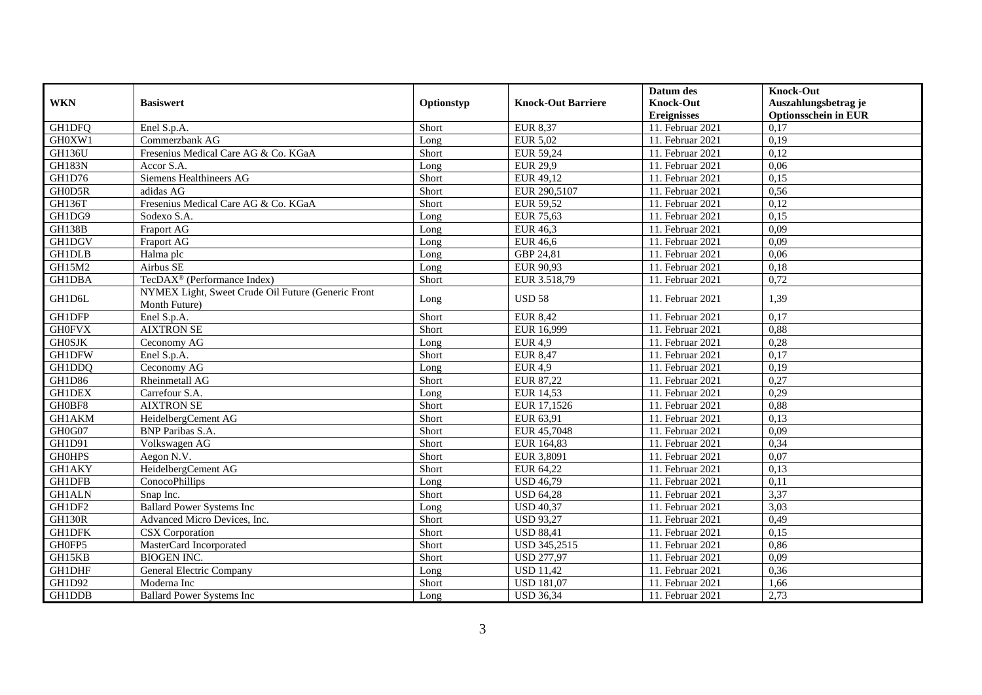|                      |                                                                     |            |                           | Datum des          | <b>Knock-Out</b>            |
|----------------------|---------------------------------------------------------------------|------------|---------------------------|--------------------|-----------------------------|
| <b>WKN</b>           | <b>Basiswert</b>                                                    | Optionstyp | <b>Knock-Out Barriere</b> | <b>Knock-Out</b>   | Auszahlungsbetrag je        |
|                      |                                                                     |            |                           | <b>Ereignisses</b> | <b>Optionsschein in EUR</b> |
| <b>GH1DFQ</b>        | Enel S.p.A.                                                         | Short      | <b>EUR 8,37</b>           | 11. Februar 2021   | 0,17                        |
| GH0XW1               | Commerzbank AG                                                      | Long       | <b>EUR 5,02</b>           | 11. Februar 2021   | 0,19                        |
| <b>GH136U</b>        | Fresenius Medical Care AG & Co. KGaA                                | Short      | EUR 59,24                 | 11. Februar 2021   | 0,12                        |
| <b>GH183N</b>        | Accor S.A.                                                          | Long       | <b>EUR 29,9</b>           | 11. Februar 2021   | 0,06                        |
| GH1D76               | Siemens Healthineers AG                                             | Short      | EUR 49,12                 | 11. Februar 2021   | 0,15                        |
| GH0D5R               | adidas AG                                                           | Short      | EUR 290,5107              | 11. Februar 2021   | 0,56                        |
| $\overline{GH}$ 136T | Fresenius Medical Care AG & Co. KGaA                                | Short      | EUR 59,52                 | 11. Februar 2021   | 0,12                        |
| GH1DG9               | Sodexo S.A.                                                         | Long       | <b>EUR 75,63</b>          | 11. Februar 2021   | 0,15                        |
| <b>GH138B</b>        | Fraport AG                                                          | Long       | EUR 46,3                  | 11. Februar 2021   | 0,09                        |
| <b>GH1DGV</b>        | Fraport AG                                                          | Long       | <b>EUR 46,6</b>           | 11. Februar 2021   | 0,09                        |
| <b>GH1DLB</b>        | Halma plc                                                           | Long       | GBP 24,81                 | 11. Februar 2021   | 0,06                        |
| GH15M2               | Airbus SE                                                           | Long       | EUR 90,93                 | 11. Februar 2021   | 0,18                        |
| <b>GH1DBA</b>        | TecDAX <sup>®</sup> (Performance Index)                             | Short      | EUR 3.518,79              | 11. Februar 2021   | 0,72                        |
| GH1D6L               | NYMEX Light, Sweet Crude Oil Future (Generic Front<br>Month Future) | Long       | <b>USD 58</b>             | 11. Februar 2021   | 1,39                        |
| GH1DFP               | Enel S.p.A.                                                         | Short      | <b>EUR 8,42</b>           | 11. Februar 2021   | 0,17                        |
| <b>GH0FVX</b>        | <b>AIXTRON SE</b>                                                   | Short      | EUR 16,999                | $11.$ Februar 2021 | 0,88                        |
| <b>GH0SJK</b>        | Ceconomy AG                                                         | Long       | <b>EUR 4.9</b>            | 11. Februar 2021   | 0,28                        |
| <b>GH1DFW</b>        | Enel S.p.A.                                                         | Short      | <b>EUR 8,47</b>           | 11. Februar 2021   | 0,17                        |
| GH1DDQ               | Ceconomy AG                                                         | Long       | <b>EUR 4,9</b>            | 11. Februar 2021   | 0,19                        |
| GH1D86               | Rheinmetall AG                                                      | Short      | EUR 87,22                 | 11. Februar 2021   | 0,27                        |
| <b>GH1DEX</b>        | Carrefour S.A.                                                      | Long       | EUR 14,53                 | 11. Februar 2021   | 0,29                        |
| GH0BF8               | <b>AIXTRON SE</b>                                                   | Short      | EUR 17,1526               | 11. Februar 2021   | 0,88                        |
| GH1AKM               | HeidelbergCement AG                                                 | Short      | EUR 63,91                 | 11. Februar 2021   | 0,13                        |
| GH0G07               | <b>BNP</b> Paribas S.A.                                             | Short      | EUR 45,7048               | 11. Februar 2021   | 0.09                        |
| GH1D91               | Volkswagen AG                                                       | Short      | EUR 164,83                | 11. Februar 2021   | 0,34                        |
| <b>GHOHPS</b>        | Aegon $N.V.$                                                        | Short      | EUR 3,8091                | 11. Februar 2021   | 0.07                        |
| <b>GH1AKY</b>        | HeidelbergCement AG                                                 | Short      | EUR 64,22                 | 11. Februar 2021   | 0,13                        |
| <b>GH1DFB</b>        | ConocoPhillips                                                      | Long       | <b>USD 46,79</b>          | $11.$ Februar 2021 | 0,11                        |
| <b>GH1ALN</b>        | Snap Inc.                                                           | Short      | <b>USD 64,28</b>          | 11. Februar 2021   | 3,37                        |
| GH1DF2               | <b>Ballard Power Systems Inc</b>                                    | Long       | <b>USD 40,37</b>          | 11. Februar 2021   | 3,03                        |
| <b>GH130R</b>        | Advanced Micro Devices, Inc.                                        | Short      | <b>USD 93,27</b>          | 11. Februar 2021   | 0,49                        |
| <b>GH1DFK</b>        | <b>CSX</b> Corporation                                              | Short      | <b>USD 88,41</b>          | 11. Februar 2021   | 0,15                        |
| GH0FP5               | MasterCard Incorporated                                             | Short      | <b>USD 345,2515</b>       | 11. Februar 2021   | 0,86                        |
| GH15KB               | <b>BIOGEN INC.</b>                                                  | Short      | <b>USD 277,97</b>         | 11. Februar 2021   | 0,09                        |
| <b>GH1DHF</b>        | General Electric Company                                            | Long       | <b>USD 11,42</b>          | 11. Februar 2021   | 0,36                        |
| GH1D92               | Moderna Inc                                                         | Short      | <b>USD 181,07</b>         | 11. Februar 2021   | 1,66                        |
| GH1DDB               | <b>Ballard Power Systems Inc</b>                                    | Long       | <b>USD 36,34</b>          | 11. Februar 2021   | 2,73                        |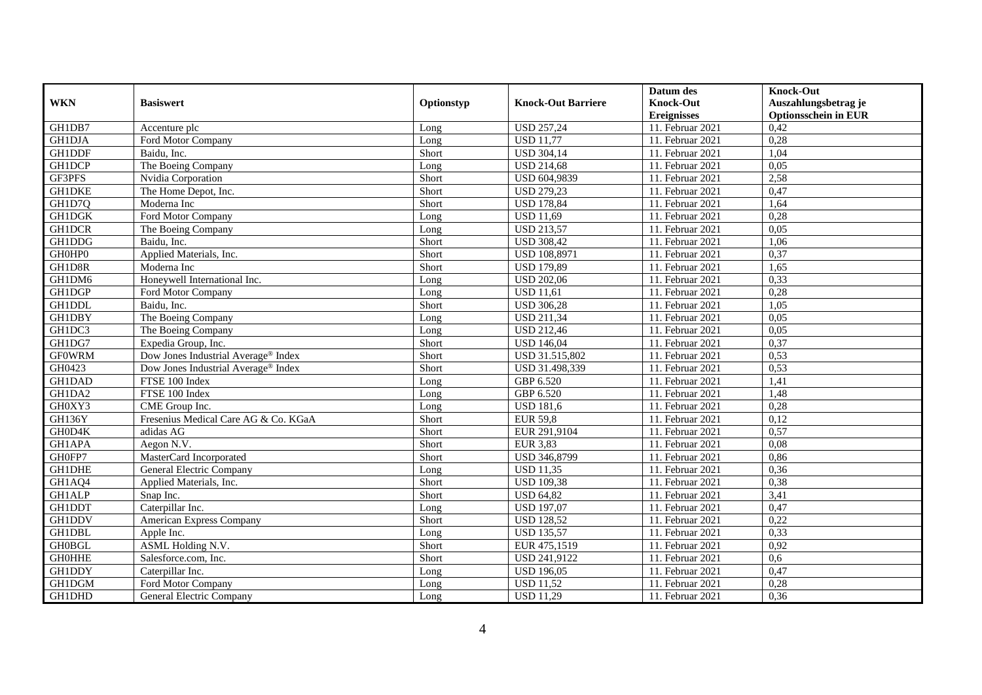|                      |                                      |            |                                | Datum des          | <b>Knock-Out</b>            |
|----------------------|--------------------------------------|------------|--------------------------------|--------------------|-----------------------------|
| <b>WKN</b>           | <b>Basiswert</b>                     | Optionstyp | <b>Knock-Out Barriere</b>      | <b>Knock-Out</b>   | Auszahlungsbetrag je        |
|                      |                                      |            |                                | <b>Ereignisses</b> | <b>Optionsschein in EUR</b> |
| GH1DB7               | Accenture plc                        | Long       | <b>USD 257,24</b>              | 11. Februar 2021   | 0,42                        |
| <b>GH1DJA</b>        | Ford Motor Company                   | Long       | $\overline{\text{USD 11}}$ ,77 | 11. Februar 2021   | 0,28                        |
| <b>GH1DDF</b>        | Baidu, Inc.                          | Short      | <b>USD 304,14</b>              | 11. Februar 2021   | 1,04                        |
| <b>GH1DCP</b>        | The Boeing Company                   | Long       | <b>USD 214,68</b>              | 11. Februar 2021   | 0,05                        |
| GF3PFS               | Nvidia Corporation                   | Short      | USD 604,9839                   | 11. Februar 2021   | 2,58                        |
| <b>GH1DKE</b>        | The Home Depot, Inc.                 | Short      | <b>USD 279,23</b>              | 11. Februar 2021   | 0,47                        |
| GH1D7Q               | Moderna Inc                          | Short      | <b>USD 178,84</b>              | 11. Februar 2021   | 1,64                        |
| <b>GH1DGK</b>        | Ford Motor Company                   | Long       | <b>USD 11.69</b>               | 11. Februar 2021   | 0,28                        |
| <b>GH1DCR</b>        | The Boeing Company                   | Long       | <b>USD 213,57</b>              | 11. Februar 2021   | 0,05                        |
| <b>GH1DDG</b>        | Baidu, Inc.                          | Short      | <b>USD 308,42</b>              | 11. Februar 2021   | 1,06                        |
| GH0HP0               | Applied Materials, Inc.              | Short      | <b>USD 108,8971</b>            | 11. Februar 2021   | 0,37                        |
| GH1D8R               | Moderna Inc                          | Short      | <b>USD 179,89</b>              | 11. Februar 2021   | 1,65                        |
| GH1DM6               | Honeywell International Inc.         | Long       | <b>USD 202,06</b>              | 11. Februar 2021   | 0,33                        |
| GH1DGP               | Ford Motor Company                   | Long       | <b>USD 11.61</b>               | 11. Februar 2021   | 0,28                        |
| GH1DDL               | Baidu, Inc.                          | Short      | <b>USD 306,28</b>              | 11. Februar 2021   | 1,05                        |
| <b>GH1DBY</b>        | The Boeing Company                   | Long       | <b>USD 211,34</b>              | 11. Februar 2021   | 0,05                        |
| GH1DC3               | The Boeing Company                   | Long       | <b>USD 212,46</b>              | 11. Februar 2021   | 0,05                        |
| GH1DG7               | Expedia Group, Inc.                  | Short      | <b>USD 146,04</b>              | 11. Februar 2021   | 0,37                        |
| <b>GFOWRM</b>        | Dow Jones Industrial Average® Index  | Short      | USD 31.515,802                 | 11. Februar 2021   | 0,53                        |
| GH0423               | Dow Jones Industrial Average® Index  | Short      | USD 31.498,339                 | 11. Februar 2021   | 0,53                        |
| <b>GH1DAD</b>        | FTSE 100 Index                       | Long       | GBP 6.520                      | 11. Februar 2021   | 1,41                        |
| GH1DA2               | FTSE 100 Index                       | Long       | GBP 6.520                      | 11. Februar 2021   | 1,48                        |
| GH0XY3               | CME Group Inc.                       | Long       | <b>USD 181,6</b>               | 11. Februar 2021   | 0,28                        |
| <b>GH136Y</b>        | Fresenius Medical Care AG & Co. KGaA | Short      | <b>EUR 59,8</b>                | 11. Februar 2021   | 0,12                        |
| GH0D4K               | adidas AG                            | Short      | EUR 291,9104                   | 11. Februar 2021   | 0,57                        |
| GH1APA               | Aegon N.V.                           | Short      | <b>EUR 3,83</b>                | 11. Februar 2021   | 0,08                        |
| GH0FP7               | MasterCard Incorporated              | Short      | <b>USD 346,8799</b>            | 11. Februar 2021   | 0,86                        |
| <b>GH1DHE</b>        | General Electric Company             | Long       | <b>USD 11,35</b>               | 11. Februar 2021   | 0,36                        |
| $\overline{GH}$ 1AQ4 | Applied Materials, Inc.              | Short      | <b>USD 109.38</b>              | 11. Februar 2021   | 0,38                        |
| <b>GH1ALP</b>        | Snap Inc.                            | Short      | <b>USD 64,82</b>               | 11. Februar 2021   | 3,41                        |
| <b>GH1DDT</b>        | Caterpillar Inc.                     | Long       | <b>USD 197,07</b>              | 11. Februar 2021   | 0,47                        |
| <b>GH1DDV</b>        | American Express Company             | Short      | <b>USD 128,52</b>              | 11. Februar 2021   | 0,22                        |
| <b>GH1DBL</b>        | Apple Inc.                           | Long       | <b>USD 135,57</b>              | 11. Februar 2021   | 0,33                        |
| <b>GH0BGL</b>        | ASML Holding N.V.                    | Short      | EUR 475,1519                   | 11. Februar 2021   | 0.92                        |
| <b>GH0HHE</b>        | Salesforce.com, Inc.                 | Short      | USD 241,9122                   | 11. Februar 2021   | 0,6                         |
| GH1DDY               | Caterpillar Inc.                     | Long       | <b>USD 196,05</b>              | 11. Februar 2021   | 0,47                        |
| GH1DGM               | Ford Motor Company                   | Long       | <b>USD 11,52</b>               | 11. Februar 2021   | 0,28                        |
| GH1DHD               | General Electric Company             | Long       | <b>USD 11,29</b>               | 11. Februar 2021   | 0,36                        |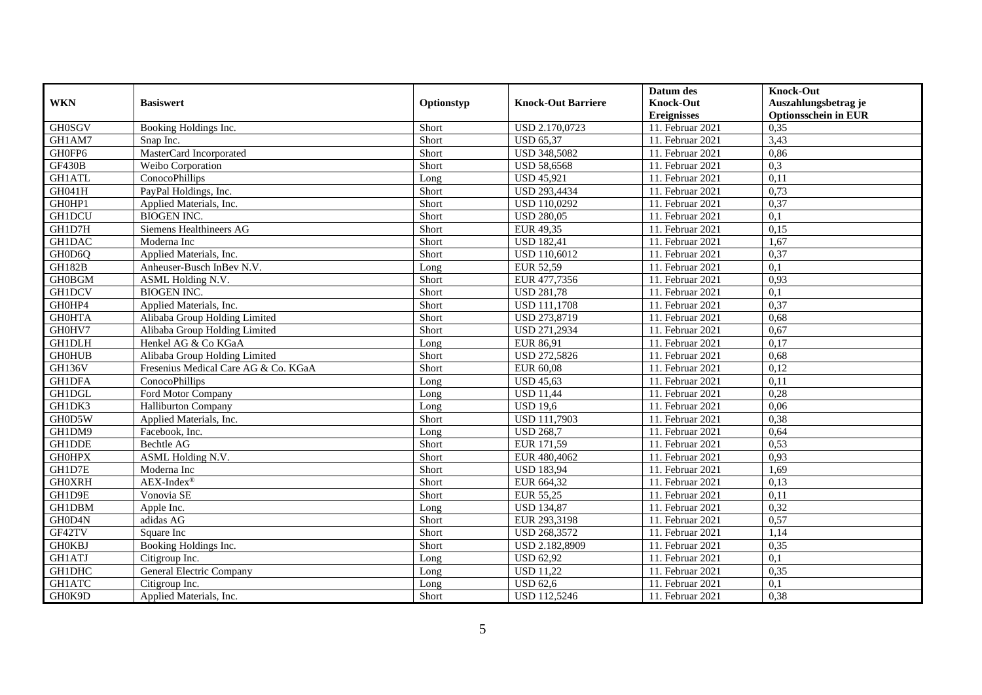|               |                                         |            |                           | Datum des          | <b>Knock-Out</b>            |
|---------------|-----------------------------------------|------------|---------------------------|--------------------|-----------------------------|
| <b>WKN</b>    | <b>Basiswert</b>                        | Optionstyp | <b>Knock-Out Barriere</b> | <b>Knock-Out</b>   | Auszahlungsbetrag je        |
|               |                                         |            |                           | <b>Ereignisses</b> | <b>Optionsschein in EUR</b> |
| <b>GH0SGV</b> | Booking Holdings Inc.                   | Short      | USD 2.170,0723            | 11. Februar 2021   | 0,35                        |
| GH1AM7        | Snap Inc.                               | Short      | <b>USD 65,37</b>          | 11. Februar 2021   | 3,43                        |
| GH0FP6        | MasterCard Incorporated                 | Short      | <b>USD 348,5082</b>       | 11. Februar 2021   | 0,86                        |
| GF430B        | Weibo Corporation                       | Short      | <b>USD 58,6568</b>        | 11. Februar 2021   | 0,3                         |
| <b>GH1ATL</b> | ConocoPhillips                          | Long       | <b>USD 45,921</b>         | 11. Februar 2021   | 0,11                        |
| GH041H        | PayPal Holdings, Inc.                   | Short      | <b>USD 293,4434</b>       | 11. Februar 2021   | 0,73                        |
| GH0HP1        | Applied Materials, Inc.                 | Short      | USD 110,0292              | 11. Februar 2021   | 0,37                        |
| <b>GH1DCU</b> | <b>BIOGEN INC.</b>                      | Short      | <b>USD 280,05</b>         | 11. Februar 2021   | 0,1                         |
| GH1D7H        | Siemens Healthineers AG                 | Short      | EUR 49,35                 | 11. Februar 2021   | 0,15                        |
| <b>GH1DAC</b> | Moderna Inc                             | Short      | <b>USD 182,41</b>         | 11. Februar 2021   | 1,67                        |
| GH0D6O        | Applied Materials, Inc.                 | Short      | <b>USD 110,6012</b>       | 11. Februar 2021   | 0,37                        |
| <b>GH182B</b> | Anheuser-Busch InBev N.V.               | Long       | EUR 52,59                 | 11. Februar 2021   | 0,1                         |
| <b>GH0BGM</b> | ASML Holding N.V.                       | Short      | EUR 477,7356              | 11. Februar 2021   | 0,93                        |
| <b>GH1DCV</b> | <b>BIOGEN INC.</b>                      | Short      | <b>USD 281,78</b>         | 11. Februar 2021   | 0,1                         |
| GH0HP4        | Applied Materials, Inc.                 | Short      | <b>USD 111,1708</b>       | 11. Februar 2021   | 0,37                        |
| <b>GH0HTA</b> | Alibaba Group Holding Limited           | Short      | USD 273,8719              | 11. Februar 2021   | 0,68                        |
| GH0HV7        | Alibaba Group Holding Limited           | Short      | USD 271,2934              | 11. Februar 2021   | 0,67                        |
| <b>GH1DLH</b> | Henkel AG & Co KGaA                     | $L$ ong    | EUR 86.91                 | 11. Februar 2021   | 0,17                        |
| <b>GH0HUB</b> | Alibaba Group Holding Limited           | Short      | <b>USD 272,5826</b>       | 11. Februar 2021   | 0,68                        |
| <b>GH136V</b> | Fresenius Medical Care AG & Co. KGaA    | Short      | EUR 60,08                 | 11. Februar 2021   | 0,12                        |
| <b>GH1DFA</b> | ConocoPhillips                          | Long       | <b>USD 45,63</b>          | 11. Februar 2021   | 0,11                        |
| <b>GH1DGL</b> | Ford Motor Company                      | Long       | <b>USD 11,44</b>          | 11. Februar 2021   | 0,28                        |
| GH1DK3        | <b>Halliburton Company</b>              | Long       | <b>USD 19.6</b>           | 11. Februar 2021   | 0,06                        |
| GH0D5W        | Applied Materials, Inc.                 | Short      | <b>USD 111,7903</b>       | 11. Februar 2021   | 0,38                        |
| GH1DM9        | Facebook, Inc.                          | Long       | <b>USD 268,7</b>          | 11. Februar 2021   | 0,64                        |
| GH1DDE        | Bechtle AG                              | Short      | EUR 171,59                | 11. Februar 2021   | 0,53                        |
| <b>GHOHPX</b> | ASML Holding N.V.                       | Short      | EUR 480,4062              | 11. Februar 2021   | 0,93                        |
| GH1D7E        | Moderna Inc                             | Short      | <b>USD 183,94</b>         | 11. Februar 2021   | 1.69                        |
| <b>GH0XRH</b> | $\overline{\text{AEX-Index}^{\otimes}}$ | Short      | EUR 664,32                | 11. Februar 2021   | 0,13                        |
| GH1D9E        | Vonovia SE                              | Short      | EUR 55,25                 | 11. Februar 2021   | 0,11                        |
| GH1DBM        | Apple Inc.                              | Long       | <b>USD 134,87</b>         | 11. Februar 2021   | 0,32                        |
| GH0D4N        | adidas AG                               | Short      | EUR 293,3198              | 11. Februar 2021   | 0,57                        |
| GF42TV        | Square Inc                              | Short      | <b>USD 268,3572</b>       | 11. Februar 2021   | 1,14                        |
| <b>GH0KBJ</b> | Booking Holdings Inc.                   | Short      | USD 2.182,8909            | 11. Februar 2021   | 0,35                        |
| <b>GH1ATJ</b> | Citigroup Inc.                          | Long       | <b>USD 62,92</b>          | 11. Februar 2021   | 0,1                         |
| GH1DHC        | General Electric Company                | Long       | <b>USD 11,22</b>          | 11. Februar 2021   | 0,35                        |
| <b>GH1ATC</b> | Citigroup Inc.                          | Long       | <b>USD 62,6</b>           | 11. Februar 2021   | 0,1                         |
| GH0K9D        | Applied Materials, Inc.                 | Short      | <b>USD 112,5246</b>       | 11. Februar 2021   | 0,38                        |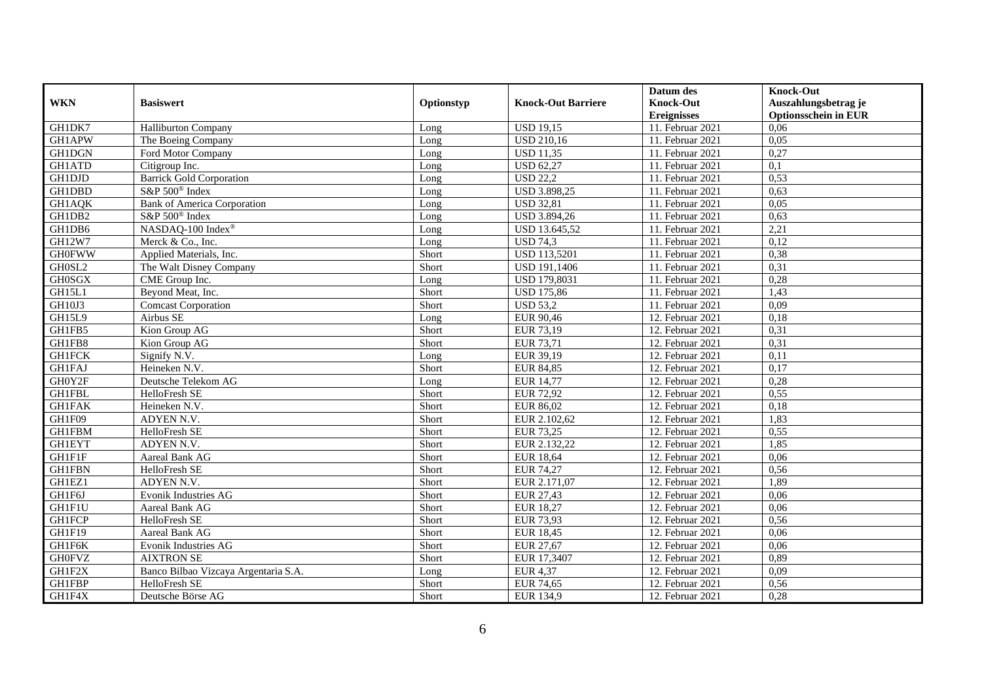|               |                                      |            |                           | Datum des          | <b>Knock-Out</b>            |
|---------------|--------------------------------------|------------|---------------------------|--------------------|-----------------------------|
| <b>WKN</b>    | <b>Basiswert</b>                     | Optionstyp | <b>Knock-Out Barriere</b> | <b>Knock-Out</b>   | Auszahlungsbetrag je        |
|               |                                      |            |                           | <b>Ereignisses</b> | <b>Optionsschein in EUR</b> |
| GH1DK7        | <b>Halliburton Company</b>           | Long       | <b>USD 19,15</b>          | 11. Februar 2021   | 0,06                        |
| <b>GH1APW</b> | The Boeing Company                   | Long       | <b>USD 210,16</b>         | 11. Februar 2021   | 0,05                        |
| GH1DGN        | Ford Motor Company                   | Long       | <b>USD 11,35</b>          | 11. Februar 2021   | 0,27                        |
| <b>GH1ATD</b> | Citigroup Inc.                       | Long       | <b>USD 62,27</b>          | 11. Februar 2021   | 0,1                         |
| GH1DJD        | <b>Barrick Gold Corporation</b>      | Long       | <b>USD 22,2</b>           | 11. Februar 2021   | 0,53                        |
| <b>GH1DBD</b> | S&P 500 <sup>®</sup> Index           | Long       | <b>USD 3.898,25</b>       | 11. Februar 2021   | 0,63                        |
| GH1AQK        | <b>Bank of America Corporation</b>   | Long       | <b>USD 32,81</b>          | 11. Februar 2021   | 0,05                        |
| GH1DB2        | $S\&P 500^{\circ}$ Index             | Long       | USD 3.894,26              | 11. Februar 2021   | 0,63                        |
| GH1DB6        | NASDAQ-100 Index®                    | Long       | USD 13.645,52             | 11. Februar 2021   | 2,21                        |
| <b>GH12W7</b> | Merck & Co., Inc.                    | Long       | <b>USD 74,3</b>           | 11. Februar 2021   | 0,12                        |
| <b>GH0FWW</b> | Applied Materials, Inc.              | Short      | <b>USD 113,5201</b>       | 11. Februar 2021   | 0,38                        |
| GH0SL2        | The Walt Disney Company              | Short      | <b>USD 191,1406</b>       | 11. Februar 2021   | 0,31                        |
| <b>GH0SGX</b> | CME Group Inc.                       | Long       | <b>USD 179,8031</b>       | 11. Februar 2021   | 0,28                        |
| GH15L1        | Beyond Meat, Inc.                    | Short      | <b>USD 175,86</b>         | 11. Februar 2021   | 1,43                        |
| GH10J3        | <b>Comcast Corporation</b>           | Short      | <b>USD 53,2</b>           | 11. Februar 2021   | 0,09                        |
| GH15L9        | Airbus SE                            | Long       | EUR 90,46                 | 12. Februar 2021   | 0,18                        |
| GH1FB5        | Kion Group AG                        | Short      | EUR 73,19                 | 12. Februar 2021   | 0,31                        |
| GH1FB8        | Kion Group AG                        | Short      | EUR 73,71                 | 12. Februar 2021   | 0,31                        |
| <b>GH1FCK</b> | Signify N.V.                         | Long       | EUR 39,19                 | 12. Februar 2021   | 0,11                        |
| <b>GH1FAJ</b> | Heineken N.V.                        | Short      | <b>EUR 84,85</b>          | 12. Februar 2021   | 0,17                        |
| GH0Y2F        | Deutsche Telekom AG                  | Long       | <b>EUR 14,77</b>          | 12. Februar 2021   | 0,28                        |
| <b>GH1FBL</b> | HelloFresh SE                        | Short      | <b>EUR 72,92</b>          | 12. Februar 2021   | 0,55                        |
| <b>GH1FAK</b> | Heineken N.V.                        | Short      | EUR 86,02                 | 12. Februar 2021   | 0,18                        |
| GH1F09        | ADYEN N.V.                           | Short      | EUR 2.102,62              | 12. Februar 2021   | 1,83                        |
| <b>GH1FBM</b> | HelloFresh SE                        | Short      | <b>EUR 73,25</b>          | 12. Februar 2021   | 0,55                        |
| <b>GH1EYT</b> | ADYEN N.V.                           | Short      | EUR 2.132,22              | 12. Februar 2021   | 1,85                        |
| GH1F1F        | Aareal Bank AG                       | Short      | <b>EUR 18,64</b>          | 12. Februar 2021   | 0,06                        |
| <b>GH1FBN</b> | HelloFresh SE                        | Short      | EUR 74,27                 | 12. Februar 2021   | 0,56                        |
| GH1EZ1        | ADYEN N.V.                           | Short      | EUR 2.171,07              | 12. Februar 2021   | 1,89                        |
| GH1F6J        | Evonik Industries AG                 | Short      | EUR 27,43                 | 12. Februar 2021   | 0,06                        |
| GH1F1U        | Aareal Bank AG                       | Short      | <b>EUR 18,27</b>          | 12. Februar 2021   | 0,06                        |
| <b>GH1FCP</b> | <b>HelloFresh SE</b>                 | Short      | EUR 73,93                 | 12. Februar 2021   | 0,56                        |
| GH1F19        | Aareal Bank AG                       | Short      | <b>EUR 18,45</b>          | 12. Februar 2021   | 0,06                        |
| GH1F6K        | Evonik Industries AG                 | Short      | EUR 27,67                 | 12. Februar 2021   | 0,06                        |
| <b>GH0FVZ</b> | <b>AIXTRON SE</b>                    | Short      | EUR 17,3407               | 12. Februar 2021   | 0,89                        |
| GH1F2X        | Banco Bilbao Vizcaya Argentaria S.A. | Long       | EUR 4,37                  | 12. Februar 2021   | 0,09                        |
| GH1FBP        | HelloFresh SE                        | Short      | EUR $74,65$               | 12. Februar 2021   | 0,56                        |
| GH1F4X        | Deutsche Börse AG                    | Short      | EUR 134,9                 | 12. Februar 2021   | 0,28                        |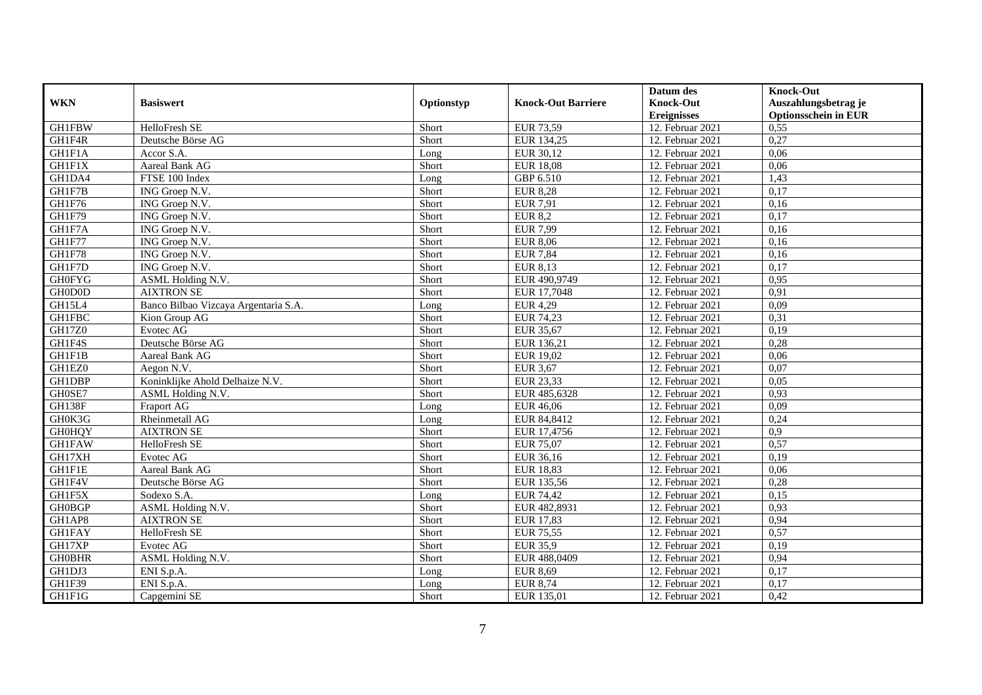|               |                                      |            |                           | Datum des          | <b>Knock-Out</b>            |
|---------------|--------------------------------------|------------|---------------------------|--------------------|-----------------------------|
| <b>WKN</b>    | <b>Basiswert</b>                     | Optionstyp | <b>Knock-Out Barriere</b> | <b>Knock-Out</b>   | Auszahlungsbetrag je        |
|               |                                      |            |                           | <b>Ereignisses</b> | <b>Optionsschein in EUR</b> |
| <b>GH1FBW</b> | HelloFresh SE                        | Short      | EUR 73,59                 | 12. Februar 2021   | 0,55                        |
| GH1F4R        | Deutsche Börse AG                    | Short      | EUR 134,25                | 12. Februar 2021   | 0,27                        |
| GH1F1A        | Accor S.A.                           | Long       | EUR 30,12                 | 12. Februar 2021   | 0,06                        |
| GH1F1X        | Aareal Bank AG                       | Short      | <b>EUR 18,08</b>          | 12. Februar 2021   | 0,06                        |
| GH1DA4        | FTSE 100 Index                       | Long       | GBP 6.510                 | 12. Februar 2021   | 1,43                        |
| GH1F7B        | ING Groep N.V.                       | Short      | <b>EUR 8,28</b>           | 12. Februar 2021   | 0,17                        |
| GH1F76        | ING Groep N.V.                       | Short      | <b>EUR 7,91</b>           | 12. Februar 2021   | 0,16                        |
| GH1F79        | ING Groep N.V.                       | Short      | <b>EUR 8,2</b>            | 12. Februar 2021   | 0,17                        |
| GH1F7A        | ING Groep N.V.                       | Short      | <b>EUR 7,99</b>           | 12. Februar 2021   | 0,16                        |
| GH1F77        | ING Groep N.V.                       | Short      | <b>EUR 8,06</b>           | 12. Februar 2021   | 0,16                        |
| GH1F78        | ING Groep N.V.                       | Short      | <b>EUR 7,84</b>           | 12. Februar 2021   | 0,16                        |
| GH1F7D        | ING Groep N.V.                       | Short      | EUR 8,13                  | 12. Februar 2021   | 0,17                        |
| <b>GH0FYG</b> | ASML Holding N.V.                    | Short      | EUR 490,9749              | 12. Februar 2021   | 0,95                        |
| GH0D0D        | <b>AIXTRON SE</b>                    | Short      | EUR 17,7048               | 12. Februar 2021   | 0,91                        |
| GH15L4        | Banco Bilbao Vizcaya Argentaria S.A. | Long       | <b>EUR 4,29</b>           | 12. Februar 2021   | 0,09                        |
| <b>GH1FBC</b> | Kion Group AG                        | Short      | EUR 74,23                 | 12. Februar 2021   | 0,31                        |
| GH17Z0        | Evotec AG                            | Short      | EUR 35,67                 | 12. Februar 2021   | 0,19                        |
| GH1F4S        | Deutsche Börse AG                    | Short      | EUR 136.21                | 12. Februar 2021   | 0,28                        |
| GH1F1B        | Aareal Bank AG                       | Short      | EUR 19,02                 | 12. Februar 2021   | 0,06                        |
| GH1EZ0        | Aegon N.V.                           | Short      | <b>EUR 3,67</b>           | 12. Februar 2021   | 0,07                        |
| <b>GH1DBP</b> | Koninklijke Ahold Delhaize N.V.      | Short      | EUR 23,33                 | 12. Februar 2021   | 0,05                        |
| GH0SE7        | ASML Holding N.V.                    | Short      | EUR 485,6328              | 12. Februar 2021   | 0,93                        |
| GH138F        | <b>Fraport AG</b>                    | Long       | EUR 46,06                 | 12. Februar 2021   | 0,09                        |
| GH0K3G        | Rheinmetall AG                       | Long       | EUR 84,8412               | 12. Februar 2021   | 0,24                        |
| <b>GH0HQY</b> | <b>AIXTRON SE</b>                    | Short      | EUR 17,4756               | 12. Februar 2021   | 0,9                         |
| <b>GH1FAW</b> | HelloFresh SE                        | Short      | <b>EUR 75,07</b>          | 12. Februar 2021   | 0,57                        |
| GH17XH        | Evotec AG                            | Short      | EUR 36,16                 | 12. Februar 2021   | 0,19                        |
| <b>GH1F1E</b> | Aareal Bank AG                       | Short      | <b>EUR 18,83</b>          | 12. Februar 2021   | 0,06                        |
| GH1F4V        | Deutsche Börse AG                    | Short      | EUR 135,56                | 12. Februar 2021   | 0,28                        |
| GH1F5X        | Sodexo S.A.                          | Long       | <b>EUR 74,42</b>          | 12. Februar 2021   | 0,15                        |
| <b>GH0BGP</b> | ASML Holding N.V.                    | Short      | EUR 482,8931              | 12. Februar 2021   | 0,93                        |
| GH1AP8        | <b>AIXTRON SE</b>                    | Short      | EUR 17,83                 | 12. Februar 2021   | 0,94                        |
| <b>GH1FAY</b> | HelloFresh SE                        | Short      | <b>EUR 75,55</b>          | 12. Februar 2021   | 0,57                        |
| GH17XP        | Evotec AG                            | Short      | <b>EUR 35,9</b>           | 12. Februar 2021   | 0,19                        |
| <b>GH0BHR</b> | ASML Holding N.V.                    | Short      | EUR 488,0409              | 12. Februar 2021   | 0,94                        |
| GH1DJ3        | ENI S.p.A.                           | Long       | <b>EUR 8,69</b>           | 12. Februar 2021   | 0,17                        |
| GH1F39        | ENI S.p.A.                           | Long       | <b>EUR 8,74</b>           | 12. Februar 2021   | 0,17                        |
| GH1F1G        | Capgemini SE                         | Short      | EUR 135,01                | 12. Februar 2021   | 0,42                        |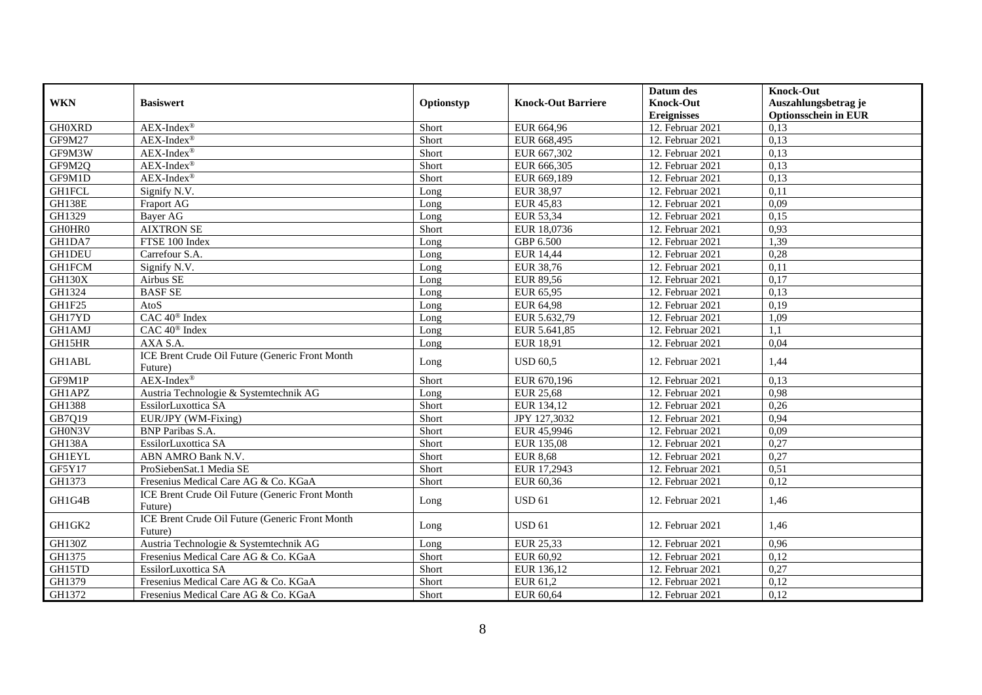|               |                                                            |            |                           | Datum des          | <b>Knock-Out</b>            |
|---------------|------------------------------------------------------------|------------|---------------------------|--------------------|-----------------------------|
| <b>WKN</b>    | <b>Basiswert</b>                                           | Optionstyp | <b>Knock-Out Barriere</b> | <b>Knock-Out</b>   | Auszahlungsbetrag je        |
|               |                                                            |            |                           | <b>Ereignisses</b> | <b>Optionsschein in EUR</b> |
| <b>GH0XRD</b> | $AEX-Index^{\circledR}$                                    | Short      | EUR 664,96                | 12. Februar 2021   | 0,13                        |
| GF9M27        | $AEX-Index^{\circledR}$                                    | Short      | EUR 668,495               | 12. Februar 2021   | 0,13                        |
| GF9M3W        | $AEX-Index^{\circledR}$                                    | Short      | EUR 667,302               | 12. Februar 2021   | 0,13                        |
| GF9M2Q        | $AEX-Index^{\circledR}$                                    | Short      | EUR 666,305               | 12. Februar 2021   | 0,13                        |
| GF9M1D        | AEX-Index®                                                 | Short      | EUR 669,189               | 12. Februar 2021   | 0,13                        |
| <b>GH1FCL</b> | Signify N.V.                                               | Long       | <b>EUR 38,97</b>          | 12. Februar 2021   | 0,11                        |
| <b>GH138E</b> | Fraport AG                                                 | Long       | EUR 45,83                 | 12. Februar 2021   | 0,09                        |
| GH1329        | <b>Bayer AG</b>                                            | Long       | EUR 53,34                 | 12. Februar 2021   | 0,15                        |
| GH0HR0        | <b>AIXTRON SE</b>                                          | Short      | EUR 18,0736               | 12. Februar 2021   | 0,93                        |
| GH1DA7        | FTSE 100 Index                                             | Long       | GBP 6.500                 | 12. Februar 2021   | 1,39                        |
| <b>GH1DEU</b> | Carrefour S.A.                                             | Long       | <b>EUR 14,44</b>          | 12. Februar 2021   | 0,28                        |
| <b>GH1FCM</b> | Signify N.V.                                               | Long       | EUR 38,76                 | 12. Februar 2021   | 0,11                        |
| <b>GH130X</b> | Airbus SE                                                  | Long       | EUR 89,56                 | 12. Februar 2021   | 0,17                        |
| GH1324        | <b>BASF SE</b>                                             | Long       | EUR 65,95                 | 12. Februar 2021   | 0,13                        |
| GH1F25        | AtoS                                                       | Long       | EUR 64,98                 | 12. Februar 2021   | 0,19                        |
| GH17YD        | CAC 40 <sup>®</sup> Index                                  | Long       | EUR 5.632,79              | 12. Februar 2021   | 1,09                        |
| <b>GH1AMJ</b> | CAC 40 <sup>®</sup> Index                                  | Long       | EUR 5.641,85              | 12. Februar 2021   | 1,1                         |
| GH15HR        | AXA S.A.                                                   | Long       | EUR 18,91                 | 12. Februar 2021   | 0,04                        |
| <b>GH1ABL</b> | ICE Brent Crude Oil Future (Generic Front Month<br>Future) | Long       | <b>USD 60,5</b>           | 12. Februar 2021   | 1,44                        |
| GF9M1P        | $AEX-Index^{\circledR}$                                    | Short      | EUR 670,196               | 12. Februar 2021   | 0,13                        |
| GH1APZ        | Austria Technologie & Systemtechnik AG                     | Long       | <b>EUR 25,68</b>          | 12. Februar 2021   | 0,98                        |
| GH1388        | EssilorLuxottica SA                                        | Short      | EUR 134,12                | 12. Februar 2021   | 0,26                        |
| GB7Q19        | EUR/JPY (WM-Fixing)                                        | Short      | JPY 127,3032              | 12. Februar 2021   | 0.94                        |
| GH0N3V        | <b>BNP</b> Paribas S.A.                                    | Short      | EUR 45,9946               | 12. Februar 2021   | 0,09                        |
| <b>GH138A</b> | EssilorLuxottica SA                                        | Short      | EUR 135,08                | 12. Februar 2021   | 0,27                        |
| <b>GH1EYL</b> | ABN AMRO Bank N.V.                                         | Short      | <b>EUR 8,68</b>           | 12. Februar 2021   | 0,27                        |
| GF5Y17        | ProSiebenSat.1 Media SE                                    | Short      | EUR 17,2943               | 12. Februar 2021   | 0,51                        |
| GH1373        | Fresenius Medical Care AG & Co. KGaA                       | Short      | EUR 60,36                 | 12. Februar 2021   | 0,12                        |
| GH1G4B        | ICE Brent Crude Oil Future (Generic Front Month<br>Future) | Long       | <b>USD 61</b>             | 12. Februar 2021   | 1,46                        |
| GH1GK2        | ICE Brent Crude Oil Future (Generic Front Month<br>Future) | Long       | <b>USD 61</b>             | 12. Februar 2021   | 1,46                        |
| <b>GH130Z</b> | Austria Technologie & Systemtechnik AG                     | Long       | EUR 25,33                 | 12. Februar 2021   | 0,96                        |
| GH1375        | Fresenius Medical Care AG & Co. KGaA                       | Short      | EUR 60,92                 | 12. Februar 2021   | 0,12                        |
| GH15TD        | EssilorLuxottica SA                                        | Short      | EUR 136,12                | 12. Februar 2021   | 0,27                        |
| GH1379        | Fresenius Medical Care AG & Co. KGaA                       | Short      | EUR 61,2                  | 12. Februar 2021   | 0,12                        |
| GH1372        | Fresenius Medical Care AG & Co. KGaA                       | Short      | EUR 60,64                 | 12. Februar 2021   | 0,12                        |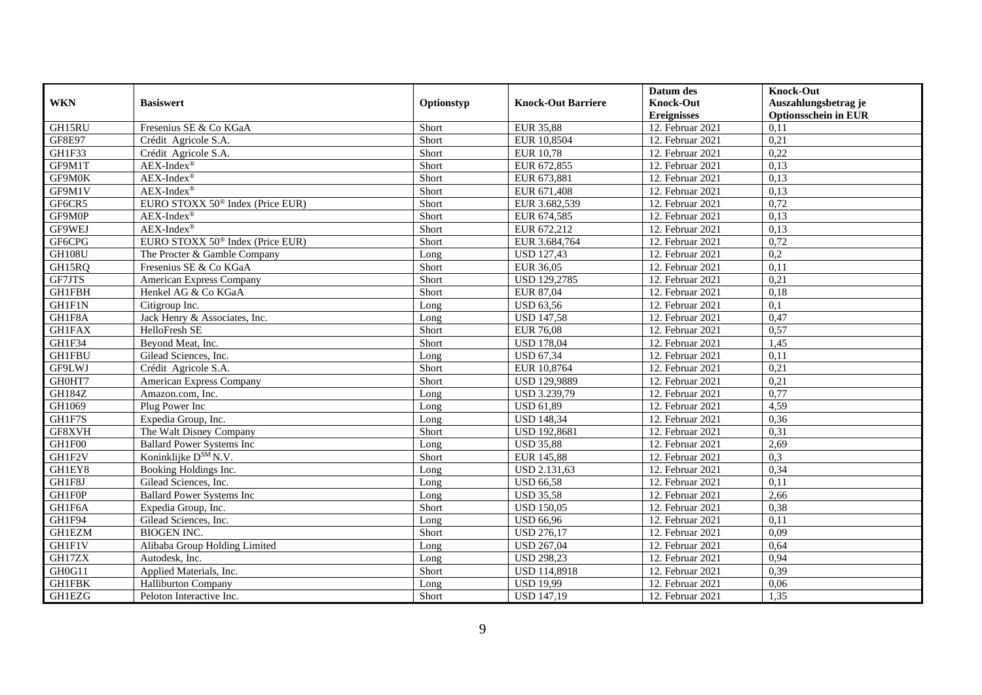|               |                                              |            |                           | Datum des          | <b>Knock-Out</b>            |
|---------------|----------------------------------------------|------------|---------------------------|--------------------|-----------------------------|
| <b>WKN</b>    | <b>Basiswert</b>                             | Optionstyp | <b>Knock-Out Barriere</b> | <b>Knock-Out</b>   | Auszahlungsbetrag je        |
|               |                                              |            |                           | <b>Ereignisses</b> | <b>Optionsschein in EUR</b> |
| GH15RU        | Fresenius SE & Co KGaA                       | Short      | <b>EUR 35,88</b>          | 12. Februar 2021   | 0,11                        |
| <b>GF8E97</b> | Crédit Agricole S.A.                         | Short      | EUR 10,8504               | 12. Februar 2021   | 0,21                        |
| GH1F33        | Crédit Agricole S.A.                         | Short      | <b>EUR 10,78</b>          | 12. Februar 2021   | 0,22                        |
| GF9M1T        | $AEX-Index^{\circledR}$                      | Short      | EUR 672,855               | 12. Februar 2021   | 0,13                        |
| GF9M0K        | $AEX-Index^{\circledR}$                      | Short      | EUR 673,881               | 12. Februar 2021   | 0,13                        |
| GF9M1V        | $AEX-Index^{\circledR}$                      | Short      | EUR 671,408               | 12. Februar 2021   | 0,13                        |
| GF6CR5        | EURO STOXX 50 <sup>®</sup> Index (Price EUR) | Short      | EUR 3.682,539             | 12. Februar 2021   | 0,72                        |
| GF9M0P        | $AEX-Index^{\circledR}$                      | Short      | EUR 674,585               | 12. Februar 2021   | 0,13                        |
| GF9WEJ        | $AEX-Index^{\circledR}$                      | Short      | EUR 672,212               | 12. Februar 2021   | 0,13                        |
| GF6CPG        | EURO STOXX 50 <sup>®</sup> Index (Price EUR) | Short      | EUR 3.684,764             | 12. Februar 2021   | 0,72                        |
| <b>GH108U</b> | The Procter & Gamble Company                 | Long       | <b>USD 127,43</b>         | 12. Februar 2021   | $\overline{0,2}$            |
| GH15RQ        | Fresenius SE & Co KGaA                       | Short      | EUR 36,05                 | 12. Februar 2021   | 0,11                        |
| GF7JTS        | American Express Company                     | Short      | <b>USD 129,2785</b>       | 12. Februar 2021   | 0,21                        |
| <b>GH1FBH</b> | Henkel AG & Co KGaA                          | Short      | EUR 87.04                 | 12. Februar 2021   | 0,18                        |
| GH1F1N        | Citigroup Inc.                               | Long       | <b>USD 63,56</b>          | 12. Februar 2021   | 0,1                         |
| GH1F8A        | Jack Henry & Associates, Inc.                | Long       | <b>USD 147,58</b>         | 12. Februar 2021   | 0,47                        |
| <b>GH1FAX</b> | HelloFresh SE                                | Short      | <b>EUR 76,08</b>          | 12. Februar 2021   | 0,57                        |
| GH1F34        | Beyond Meat, Inc.                            | Short      | <b>USD 178,04</b>         | 12. Februar 2021   | 1,45                        |
| <b>GH1FBU</b> | Gilead Sciences, Inc.                        | Long       | <b>USD 67,34</b>          | 12. Februar 2021   | 0,11                        |
| GF9LWJ        | Crédit Agricole S.A.                         | Short      | EUR 10,8764               | 12. Februar 2021   | 0,21                        |
| GH0HT7        | American Express Company                     | Short      | <b>USD 129,9889</b>       | 12. Februar 2021   | 0,21                        |
| <b>GH184Z</b> | Amazon.com. Inc.                             | Long       | USD 3.239,79              | 12. Februar 2021   | 0,77                        |
| GH1069        | Plug Power Inc                               | Long       | $\overline{$ USD 61,89    | 12. Februar 2021   | 4,59                        |
| GH1F7S        | Expedia Group, Inc.                          | Long       | <b>USD 148,34</b>         | 12. Februar 2021   | 0,36                        |
| GF8XVH        | The Walt Disney Company                      | Short      | <b>USD 192,8681</b>       | 12. Februar 2021   | 0,31                        |
| GH1F00        | <b>Ballard Power Systems Inc</b>             | Long       | <b>USD 35,88</b>          | 12. Februar 2021   | 2,69                        |
| GH1F2V        | Koninklijke D <sup>SM</sup> N.V.             | Short      | <b>EUR 145,88</b>         | 12. Februar 2021   | 0,3                         |
| GH1EY8        | Booking Holdings Inc.                        | Long       | USD 2.131,63              | 12. Februar 2021   | 0,34                        |
| GH1F8J        | Gilead Sciences, Inc.                        | Long       | <b>USD 66,58</b>          | 12. Februar 2021   | 0,11                        |
| GH1F0P        | <b>Ballard Power Systems Inc</b>             | Long       | <b>USD 35,58</b>          | 12. Februar 2021   | 2,66                        |
| GH1F6A        | Expedia Group, Inc.                          | Short      | <b>USD 150,05</b>         | 12. Februar 2021   | 0,38                        |
| GH1F94        | Gilead Sciences, Inc.                        | Long       | <b>USD 66,96</b>          | 12. Februar 2021   | 0,11                        |
| <b>GH1EZM</b> | <b>BIOGEN INC.</b>                           | Short      | <b>USD 276,17</b>         | 12. Februar 2021   | 0,09                        |
| <b>GH1F1V</b> | Alibaba Group Holding Limited                | Long       | <b>USD 267,04</b>         | 12. Februar 2021   | 0,64                        |
| GH17ZX        | Autodesk, Inc.                               | Long       | <b>USD 298,23</b>         | 12. Februar 2021   | 0,94                        |
| GH0G11        | Applied Materials, Inc.                      | Short      | <b>USD 114,8918</b>       | 12. Februar 2021   | 0,39                        |
| <b>GH1FBK</b> | Halliburton Company                          | Long       | <b>USD 19,99</b>          | 12. Februar 2021   | 0,06                        |
| <b>GH1EZG</b> | Peloton Interactive Inc.                     | Short      | <b>USD 147,19</b>         | 12. Februar 2021   | 1,35                        |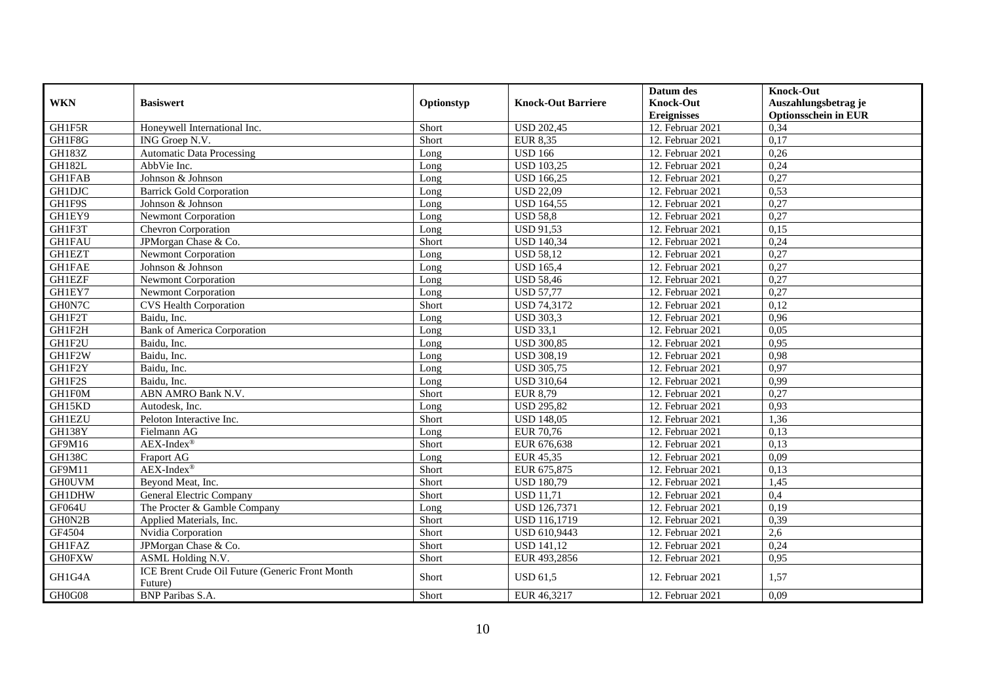|               |                                                            |            |                           | Datum des          | <b>Knock-Out</b>            |
|---------------|------------------------------------------------------------|------------|---------------------------|--------------------|-----------------------------|
| <b>WKN</b>    | <b>Basiswert</b>                                           | Optionstyp | <b>Knock-Out Barriere</b> | <b>Knock-Out</b>   | Auszahlungsbetrag je        |
|               |                                                            |            |                           | <b>Ereignisses</b> | <b>Optionsschein in EUR</b> |
| GH1F5R        | Honeywell International Inc.                               | Short      | <b>USD 202,45</b>         | 12. Februar 2021   | 0,34                        |
| GH1F8G        | ING Groep N.V.                                             | Short      | <b>EUR 8,35</b>           | 12. Februar 2021   | 0,17                        |
| <b>GH183Z</b> | <b>Automatic Data Processing</b>                           | Long       | <b>USD 166</b>            | 12. Februar 2021   | 0,26                        |
| <b>GH182L</b> | AbbVie Inc.                                                | Long       | <b>USD 103,25</b>         | 12. Februar 2021   | 0,24                        |
| <b>GH1FAB</b> | Johnson & Johnson                                          | Long       | <b>USD 166,25</b>         | 12. Februar 2021   | 0,27                        |
| <b>GH1DJC</b> | <b>Barrick Gold Corporation</b>                            | Long       | <b>USD 22,09</b>          | 12. Februar 2021   | 0,53                        |
| GH1F9S        | Johnson & Johnson                                          | Long       | <b>USD 164,55</b>         | 12. Februar 2021   | 0,27                        |
| GH1EY9        | <b>Newmont Corporation</b>                                 | Long       | <b>USD 58,8</b>           | 12. Februar 2021   | 0,27                        |
| GH1F3T        | Chevron Corporation                                        | Long       | $USD\overline{91,53}$     | 12. Februar 2021   | 0,15                        |
| <b>GH1FAU</b> | JPMorgan Chase & Co.                                       | Short      | <b>USD 140,34</b>         | 12. Februar 2021   | 0,24                        |
| <b>GH1EZT</b> | <b>Newmont Corporation</b>                                 | Long       | <b>USD 58,12</b>          | 12. Februar 2021   | 0,27                        |
| <b>GH1FAE</b> | Johnson & Johnson                                          | Long       | <b>USD 165.4</b>          | 12. Februar 2021   | 0,27                        |
| <b>GH1EZF</b> | <b>Newmont Corporation</b>                                 | Long       | <b>USD 58,46</b>          | 12. Februar 2021   | 0,27                        |
| GH1EY7        | <b>Newmont Corporation</b>                                 | Long       | <b>USD 57,77</b>          | 12. Februar 2021   | 0,27                        |
| GH0N7C        | <b>CVS Health Corporation</b>                              | Short      | <b>USD 74,3172</b>        | 12. Februar 2021   | 0,12                        |
| GH1F2T        | Baidu, Inc.                                                | Long       | <b>USD 303,3</b>          | 12. Februar 2021   | 0,96                        |
| GH1F2H        | <b>Bank of America Corporation</b>                         | Long       | <b>USD 33,1</b>           | 12. Februar 2021   | 0,05                        |
| GH1F2U        | Baidu, Inc.                                                | Long       | <b>USD 300,85</b>         | 12. Februar 2021   | 0,95                        |
| GH1F2W        | Baidu, Inc.                                                | Long       | <b>USD 308,19</b>         | 12. Februar 2021   | 0,98                        |
| GH1F2Y        | Baidu, Inc.                                                | Long       | <b>USD 305,75</b>         | 12. Februar 2021   | 0,97                        |
| GH1F2S        | Baidu, Inc.                                                | Long       | <b>USD 310,64</b>         | 12. Februar 2021   | 0,99                        |
| GH1F0M        | ABN AMRO Bank N.V.                                         | Short      | EUR 8,79                  | 12. Februar 2021   | 0,27                        |
| GH15KD        | Autodesk, Inc.                                             | Long       | <b>USD 295,82</b>         | 12. Februar 2021   | 0,93                        |
| <b>GH1EZU</b> | Peloton Interactive Inc.                                   | Short      | <b>USD 148,05</b>         | 12. Februar 2021   | 1,36                        |
| <b>GH138Y</b> | Fielmann AG                                                | Long       | <b>EUR 70,76</b>          | 12. Februar 2021   | 0.13                        |
| GF9M16        | AEX-Index®                                                 | Short      | EUR 676,638               | 12. Februar 2021   | 0,13                        |
| <b>GH138C</b> | Fraport AG                                                 | Long       | EUR 45,35                 | 12. Februar 2021   | 0,09                        |
| GF9M11        | $AEX-Index^{\circledR}$                                    | Short      | EUR 675,875               | 12. Februar 2021   | 0,13                        |
| <b>GHOUVM</b> | Beyond Meat, Inc.                                          | Short      | <b>USD 180,79</b>         | 12. Februar 2021   | 1,45                        |
| GH1DHW        | General Electric Company                                   | Short      | $\overline{$ USD 11,71    | 12. Februar 2021   | 0,4                         |
| GF064U        | The Procter & Gamble Company                               | Long       | <b>USD 126,7371</b>       | 12. Februar 2021   | 0,19                        |
| GH0N2B        | Applied Materials, Inc.                                    | Short      | <b>USD 116,1719</b>       | 12. Februar 2021   | 0,39                        |
| GF4504        | Nvidia Corporation                                         | Short      | USD 610,9443              | 12. Februar 2021   | 2,6                         |
| <b>GH1FAZ</b> | JPMorgan Chase & Co.                                       | Short      | <b>USD 141,12</b>         | 12. Februar 2021   | 0,24                        |
| <b>GH0FXW</b> | ASML Holding N.V.                                          | Short      | EUR 493,2856              | 12. Februar 2021   | 0,95                        |
| GH1G4A        | ICE Brent Crude Oil Future (Generic Front Month<br>Future) | Short      | <b>USD 61,5</b>           | 12. Februar 2021   | 1,57                        |
| GH0G08        | BNP Paribas S.A.                                           | Short      | EUR 46,3217               | 12. Februar 2021   | 0,09                        |